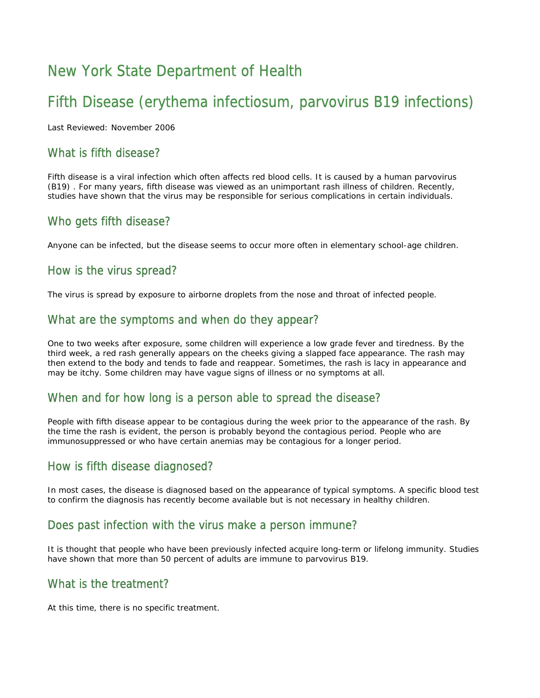# New York State Department of Health

# Fifth Disease (erythema infectiosum, parvovirus B19 infections)

Last Reviewed: November 2006

### What is fifth disease?

Fifth disease is a viral infection which often affects red blood cells. It is caused by a human parvovirus (B19) . For many years, fifth disease was viewed as an unimportant rash illness of children. Recently, studies have shown that the virus may be responsible for serious complications in certain individuals.

## Who gets fifth disease?

Anyone can be infected, but the disease seems to occur more often in elementary school-age children.

## How is the virus spread?

The virus is spread by exposure to airborne droplets from the nose and throat of infected people.

## What are the symptoms and when do they appear?

One to two weeks after exposure, some children will experience a low grade fever and tiredness. By the third week, a red rash generally appears on the cheeks giving a slapped face appearance. The rash may then extend to the body and tends to fade and reappear. Sometimes, the rash is lacy in appearance and may be itchy. Some children may have vague signs of illness or no symptoms at all.

## When and for how long is a person able to spread the disease?

People with fifth disease appear to be contagious during the week prior to the appearance of the rash. By the time the rash is evident, the person is probably beyond the contagious period. People who are immunosuppressed or who have certain anemias may be contagious for a longer period.

#### How is fifth disease diagnosed?

In most cases, the disease is diagnosed based on the appearance of typical symptoms. A specific blood test to confirm the diagnosis has recently become available but is not necessary in healthy children.

#### Does past infection with the virus make a person immune?

It is thought that people who have been previously infected acquire long-term or lifelong immunity. Studies have shown that more than 50 percent of adults are immune to parvovirus B19.

#### What is the treatment?

At this time, there is no specific treatment.